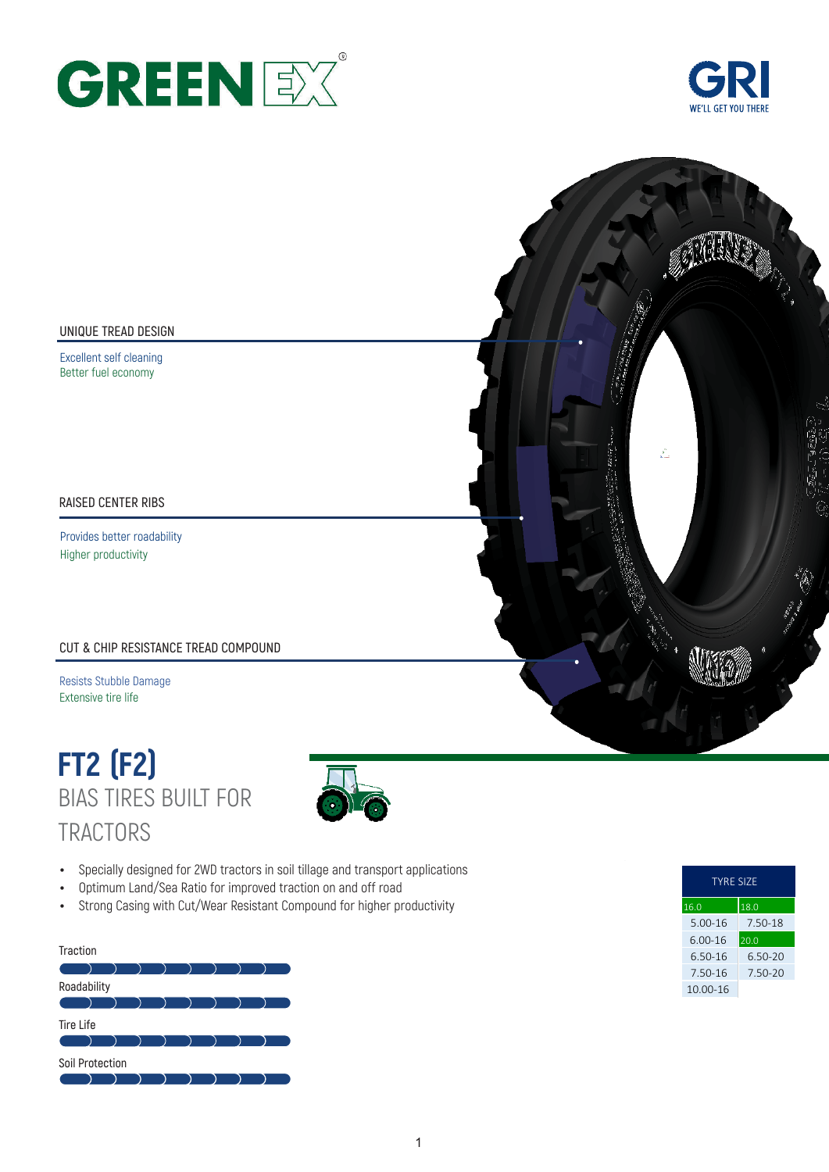



### **UNIQUE TREAD DESIGN**

Excellent self cleaning Better fuel economy

### **RAISED CENTER RIBS**

Provides better roadability Higher productivity

### **CUT & CHIP RESISTANCE TREAD COMPOUND**

Resists Stubble Damage Extensive tire life

# BIAS TIRES BUILT FOR **TRACTORS FT2 (F2)**



- Specially designed for 2WD tractors in soil tillage and transport applications
- Optimum Land/Sea Ratio for improved traction on and off road
- Strong Casing with Cut/Wear Resistant Compound for higher productivity

#### **Traction**



| <b>TYRE SIZE</b> |               |  |  |  |  |  |  |
|------------------|---------------|--|--|--|--|--|--|
| 16.0             | 18.0          |  |  |  |  |  |  |
| $5.00 - 16$      | 7.50-18       |  |  |  |  |  |  |
| $6.00 - 16$      | $\sqrt{20.0}$ |  |  |  |  |  |  |
| 6.50-16          | 6.50-20       |  |  |  |  |  |  |
| 7.50-16          | 7.50-20       |  |  |  |  |  |  |
| 10.00-16         |               |  |  |  |  |  |  |